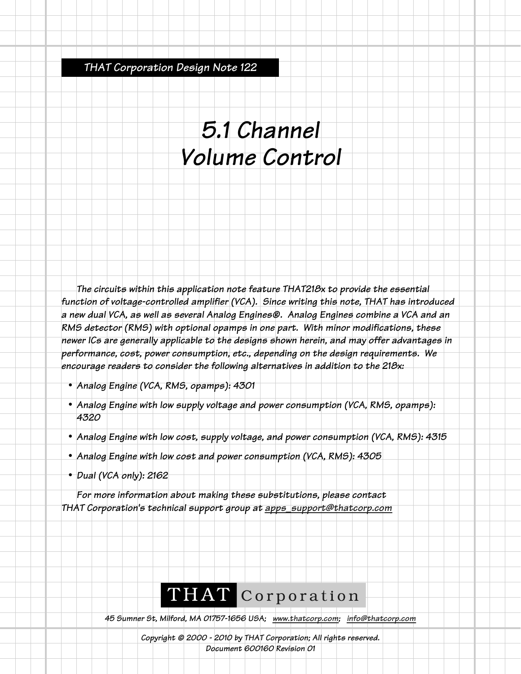*THAT Corporation Design Note 122*

## *5.1 Channel Volume Control*

*The circuits within this application note feature THAT218x to provide the essential function of voltage-controlled amplifier (VCA). Since writing this note, THAT has introduced a new dual VCA, as well as several Analog Engines®. Analog Engines combine a VCA and an RMS detector (RMS) with optional opamps in one part. With minor modifications, these newer ICs are generally applicable to the designs shown herein, and may offer advantages in performance, cost, power consumption, etc., depending on the design requirements. We encourage readers to consider the following alternatives in addition to the 218x:*

- *• Analog Engine (VCA, RMS, opamps): 4301*
- *• Analog Engine with low supply voltage and power consumption (VCA, RMS, opamps): 4320*
- *• Analog Engine with low cost, supply voltage, and power consumption (VCA, RMS): 4315*
- *• Analog Engine with low cost and power consumption (VCA, RMS): 4305*
- *• Dual (VCA only): 2162*

*For more information about making these substitutions, please contact THAT Corporation's technical support group at apps\_support@thatcorp.com*

## THAT Corporation

*45 Sumner St, Milford, MA 01757-1656 USA; www.thatcorp.com; info@thatcorp.com*

*Copyright © 2000 - 2010 by THAT Corporation; All rights reserved. Document 600160 Revision 01*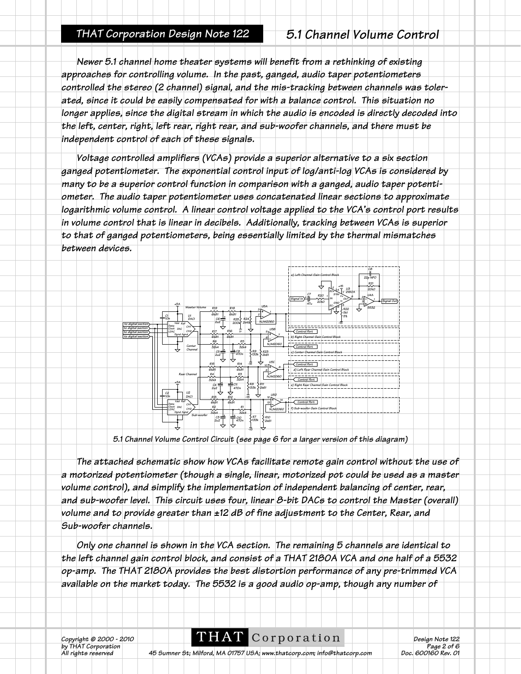## *THAT Corporation Design Note 122 5.1 Channel Volume Control*

*Newer 5.1 channel home theater systems will benefit from a rethinking of existing approaches for controlling volume. In the past, ganged, audio taper potentiometers controlled the stereo (2 channel) signal, and the mis-tracking between channels was tolerated, since it could be easily compensated for with a balance control. This situation no longer applies, since the digital stream in which the audio is encoded is directly decoded into the left, center, right, left rear, right rear, and sub-woofer channels, and there must be independent control of each of these signals.* 

*Voltage controlled amplifiers (VCAs) provide a superior alternative to a six section ganged potentiometer. The exponential control input of log/anti-log VCAs is considered by many to be a superior control function in comparison with a ganged, audio taper potentiometer. The audio taper potentiometer uses concatenated linear sections to approximate logarithmic volume control. A linear control voltage applied to the VCA's control port results in volume control that is linear in decibels. Additionally, tracking between VCAs is superior to that of ganged potentiometers, being essentially limited by the thermal mismatches between devices.*



*5.1 Channel Volume Control Circuit (see page 6 for a larger version of this diagram)*

*The attached schematic show how VCAs facilitate remote gain control without the use of a motorized potentiometer (though a single, linear, motorized pot could be used as a master volume control), and simplify the implementation of independent balancing of center, rear, and sub-woofer level. This circuit uses four, linear 8-bit DACs to control the Master (overall) volume and to provide greater than ±12 dB of fine adjustment to the Center, Rear, and Sub-woofer channels.*

*Only one channel is shown in the VCA section. The remaining 5 channels are identical to the left channel gain control block, and consist of a THAT 2180A VCA and one half of a 5532 op-amp. The THAT 2180A provides the best distortion performance of any pre-trimmed VCA available on the market today. The 5532 is a good audio op-amp, though any number of*

*Corporation*<br>*Design Note 122*<br>*Page 2 of 6* 

*b* Copyright © 2000 - 2010<br>
by THAT Corporation **Page 2 of 6**<br>
All rights reserved 45 Sumner St; Milford, MA 01757 USA; www.thatcorp.com; info@thatcorp.com **Page 2 of 6** *Ab Sumner St; Milford, MA 01757 USA; www.thatcorp.com; info@thatcorp.com*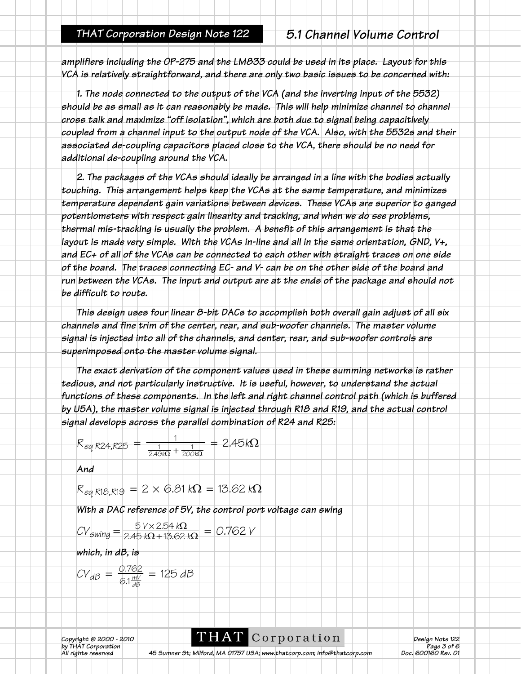*amplifiers including the OP-275 and the LM833 could be used in its place. Layout for this VCA is relatively straightforward, and there are only two basic issues to be concerned with:*

*1. The node connected to the output of the VCA (and the inverting input of the 5532) should be as small as it can reasonably be made. This will help minimize channel to channel cross talk and maximize "off isolation", which are both due to signal being capacitively coupled from a channel input to the output node of the VCA. Also, with the 5532s and their associated de-coupling capacitors placed close to the VCA, there should be no need for additional de-coupling around the VCA.*

*2. The packages of the VCAs should ideally be arranged in a line with the bodies actually touching. This arrangement helps keep the VCAs at the same temperature, and minimizes temperature dependent gain variations between devices. These VCAs are superior to ganged potentiometers with respect gain linearity and tracking, and when we do see problems, thermal mis-tracking is usually the problem. A benefit of this arrangement is that the layout is made very simple. With the VCAs in-line and all in the same orientation, GND, V+, and EC+ of all of the VCAs can be connected to each other with straight traces on one side of the board. The traces connecting EC- and V- can be on the other side of the board and run between the VCAs. The input and output are at the ends of the package and should not be difficult to route.*

*This design uses four linear 8-bit DACs to accomplish both overall gain adjust of all six channels and fine trim of the center, rear, and sub-woofer channels. The master volume signal is injected into all of the channels, and center, rear, and sub-woofer controls are superimposed onto the master volume signal.* 

*The exact derivation of the component values used in these summing networks is rather tedious, and not particularly instructive. It is useful, however, to understand the actual functions of these components. In the left and right channel control path (which is buffered by U5A), the master volume signal is injected through R18 and R19, and the actual control signal develops across the parallel combination of R24 and R25:*

$$
R_{eq\ R24,R25} = \frac{1}{\frac{1}{2.49k\Omega} + \frac{1}{200k\Omega}} = 2.45k\Omega
$$

*And*

$$
R_{eq, R18, R19} = 2 \times 6.81 k\Omega = 13.62 k\Omega
$$

*With a DAC reference of 5V, the control port voltage can swing*

$$
CV_{\text{swing}} = \frac{5 \text{ V} \times 2.54 \text{ k}\Omega}{2.45 \text{ k}\Omega + 15.62 \text{ k}\Omega} = 0.762 \text{ V}
$$

*which, in dB, is*

$$
CV_{dB} = \frac{0.762}{6.1\frac{mV}{dB}} = 125 dB
$$

**Corporation**<br>*Pesign Note 122*<br>*Page 3 of 6 b* Copyright © 2000 - 2010<br>
by THAT Corporation **Page 3 of 6**<br>All rights reserved 45 Sumner St; Milford, MA 01757 USA; www.thatcorp.com; info@thatcorp.com **Page 3 of 6** 

*Ab Sumner St; Milford, MA 01757 USA; www.thatcorp.com; info@thatcorp.com*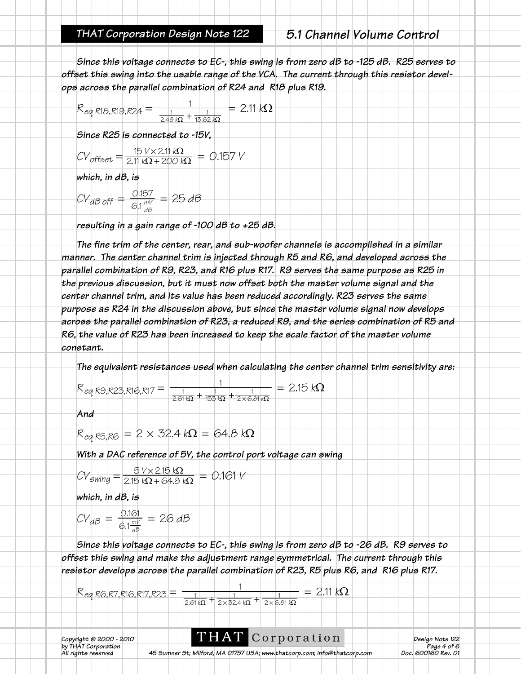*Since this voltage connects to EC-, this swing is from zero dB to -125 dB. R25 serves to offset this swing into the usable range of the VCA. The current through this resistor develops across the parallel combination of R24 and R18 plus R19.* 

| K eg R18,R19,R24 |                 | $k\Omega$ |
|------------------|-----------------|-----------|
|                  | .62 kΩ<br>249 N |           |

*Since R25 is connected to -15V,*

$$
CV_{offset} = \frac{15 \text{ V} \times 2.11 \text{ k}\Omega}{2.11 \text{ k}\Omega + 200 \text{ k}\Omega} = 0.157 \text{ V}
$$

*which, in dB, is*

$$
CV_{dB \text{ off}} = \frac{0.157}{6.1 \frac{mv}{dB}} = 25 dB
$$

*resulting in a gain range of -100 dB to +25 dB.*

*The fine trim of the center, rear, and sub-woofer channels is accomplished in a similar manner. The center channel trim is injected through R5 and R6, and developed across the parallel combination of R9, R23, and R16 plus R17. R9 serves the same purpose as R25 in the previous discussion, but it must now offset both the master volume signal and the center channel trim, and its value has been reduced accordingly. R23 serves the same purpose as R24 in the discussion above, but since the master volume signal now develops across the parallel combination of R23, a reduced R9, and the series combination of R5 and R6, the value of R23 has been increased to keep the scale factor of the master volume constant.* 

*The equivalent resistances used when calculating the center channel trim sensitivity are:*

$$
R_{eq. R9, R23, R16, R17} = \frac{1}{\frac{1}{2.61.62} + \frac{1}{133.62} + \frac{1}{2 \times 6.81.62}} = 2.15 \text{ k}\Omega
$$

*And*

$$
R_{eq, R5, R6} = 2 \times 32.4 \text{ k}\Omega = 64.8 \text{ k}\Omega
$$

*With a DAC reference of 5V, the control port voltage can swing*

$$
CV_{\text{swing}} = \frac{5 \text{ V} \times 2.15 \text{ k}\Omega}{2.15 \text{ k}\Omega + 64.8 \text{ k}\Omega} = 0.161 \text{ V}
$$

*which, in dB, is*

$$
CV_{dB} = \frac{0.161}{6.1\frac{mV}{dB}} = 26 dB
$$

*Since this voltage connects to EC-, this swing is from zero dB to -26 dB. R9 serves to offset this swing and make the adjustment range symmetrical. The current through this resistor develops across the parallel combination of R23, R5 plus R6, and R16 plus R17.* 

$$
R_{eq\,R6,R7,R16,R17,R23} = \frac{1}{\frac{1}{2.61k\Omega} + \frac{1}{2\times32.4k\Omega} + \frac{1}{2\times6.81k\Omega}} = 2.11 k\Omega
$$

**THAT** Corporation *Design Note* 122<br>*Page 4 of 6 b* Copyright © 2000 - 2010<br>
by THAT Corporation **Page 4 of 6**<br>
All rights reserved 45 Sumner St; Milford, MA 01757 USA; www.thatcorp.com; info@thatcorp.com **Page 4 of 6** 

*Ab Sumner St; Milford, MA 01757 USA; www.thatcorp.com; info@thatcorp.com*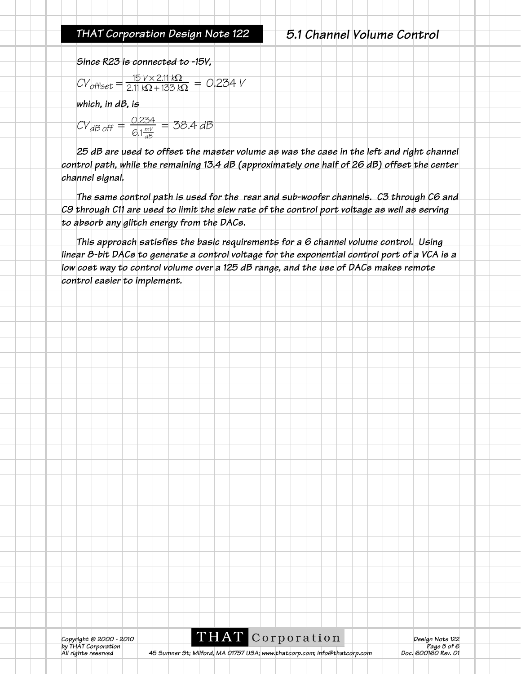*THAT Corporation Design Note 122 5.1 Channel Volume Control*

*Since R23 is connected to -15V,*

$$
CV_{offset} = \frac{15 \text{ V} \times 2.11 \text{ k}\Omega}{2.11 \text{ k}\Omega + 133 \text{ k}\Omega} = 0.234 \text{ V}
$$

*which, in dB, is*

$$
CV_{dB\,off} = \frac{0.234}{6.1\frac{mV}{dB}} = 38.4\,dB
$$

*25 dB are used to offset the master volume as was the case in the left and right channel control path, while the remaining 13.4 dB (approximately one half of 26 dB) offset the center channel signal.*

*The same control path is used for the rear and sub-woofer channels. C3 through C6 and C9 through C11 are used to limit the slew rate of the control port voltage as well as serving to absorb any glitch energy from the DACs.*

*This approach satisfies the basic requirements for a 6 channel volume control. Using linear 8-bit DACs to generate a control voltage for the exponential control port of a VCA is a low cost way to control volume over a 125 dB range, and the use of DACs makes remote control easier to implement.*

*A5 Sumner St; Milford, MA 01757 USA; www.thatcorp.com; info@thatcorp.com*